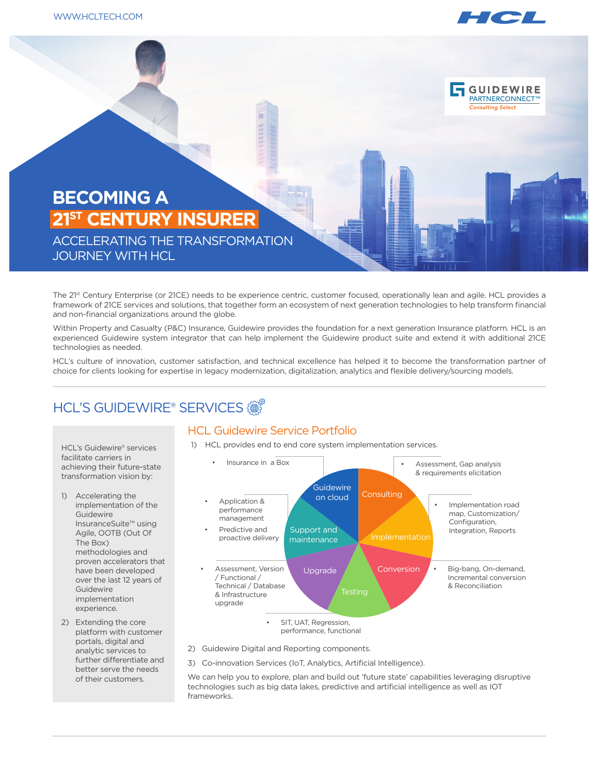

**GUIDEWIRE** PARTNERCONNECT™ **Consulting Select** 

# **BECOMING A 21ST CENTURY INSURER**

ACCELERATING THE TRANSFORMATION JOURNEY WITH HCL

The 21st Century Enterprise (or 21CE) needs to be experience centric, customer focused, operationally lean and agile. HCL provides a framework of 21CE services and solutions, that together form an ecosystem of next generation technologies to help transform financial and non-financial organizations around the globe.

Within Property and Casualty (P&C) Insurance, Guidewire provides the foundation for a next generation Insurance platform. HCL is an experienced Guidewire system integrator that can help implement the Guidewire product suite and extend it with additional 21CE technologies as needed.

HCL's culture of innovation, customer satisfaction, and technical excellence has helped it to become the transformation partner of choice for clients looking for expertise in legacy modernization, digitalization, analytics and flexible delivery/sourcing models.

#### **HCL'S GUIDEWIRE® SERVICES**

#### HCL Guidewire Service Portfolio

1) HCL provides end to end core system implementation services.



- performance, functional
- 2) Guidewire Digital and Reporting components.
- 3) Co-innovation Services (IoT, Analytics, Artificial Intelligence).

We can help you to explore, plan and build out 'future state' capabilities leveraging disruptive technologies such as big data lakes, predictive and artificial intelligence as well as IOT frameworks.

HCL's Guidewire® services facilitate carriers in achieving their future-state transformation vision by:

- 1) Accelerating the implementation of the Guidewire InsuranceSuite™ using Agile, OOTB (Out Of The Box) methodologies and proven accelerators that have been developed over the last 12 years of Guidewire implementation experience.
- 2) Extending the core platform with customer portals, digital and analytic services to further differentiate and better serve the needs of their customers.